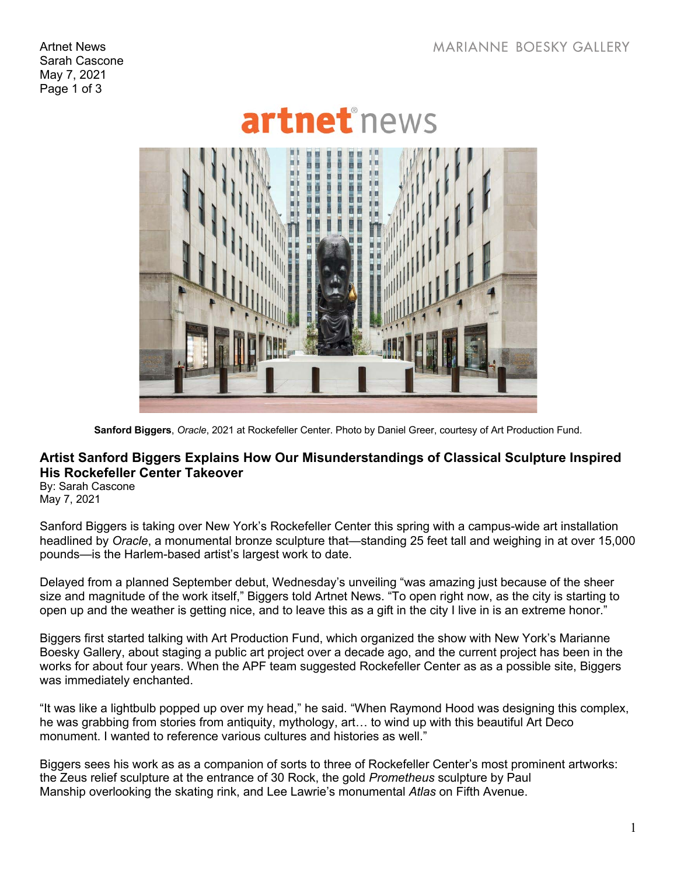Artnet News Sarah Cascone May 7, 2021 Page 1 of 3



**Sanford Biggers**, *Oracle*, 2021 at Rockefeller Center. Photo by Daniel Greer, courtesy of Art Production Fund.

## **Artist Sanford Biggers Explains How Our Misunderstandings of Classical Sculpture Inspired His Rockefeller Center Takeover**

By: Sarah Cascone May 7, 2021

Sanford Biggers is taking over New York's Rockefeller Center this spring with a campus-wide art installation headlined by *Oracle*, a monumental bronze sculpture that—standing 25 feet tall and weighing in at over 15,000 pounds—is the Harlem-based artist's largest work to date.

Delayed from a planned September debut, Wednesday's unveiling "was amazing just because of the sheer size and magnitude of the work itself," Biggers told Artnet News. "To open right now, as the city is starting to open up and the weather is getting nice, and to leave this as a gift in the city I live in is an extreme honor."

Biggers first started talking with Art Production Fund, which organized the show with New York's Marianne Boesky Gallery, about staging a public art project over a decade ago, and the current project has been in the works for about four years. When the APF team suggested Rockefeller Center as as a possible site, Biggers was immediately enchanted.

"It was like a lightbulb popped up over my head," he said. "When Raymond Hood was designing this complex, he was grabbing from stories from antiquity, mythology, art… to wind up with this beautiful Art Deco monument. I wanted to reference various cultures and histories as well."

Biggers sees his work as as a companion of sorts to three of Rockefeller Center's most prominent artworks: the Zeus relief sculpture at the entrance of 30 Rock, the gold *Prometheus* sculpture by Paul Manship overlooking the skating rink, and Lee Lawrie's monumental *Atlas* on Fifth Avenue.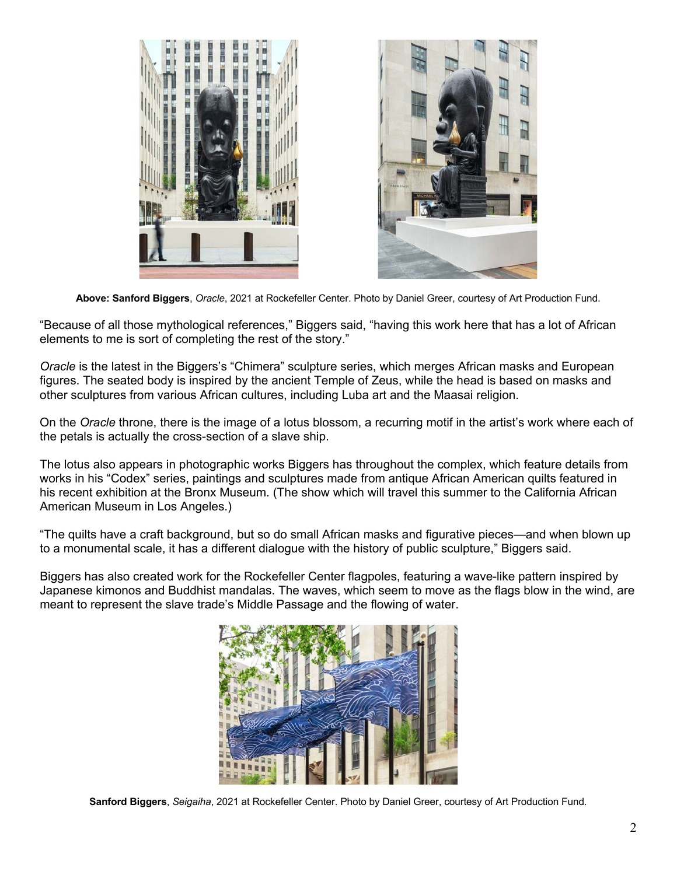



**Above: Sanford Biggers**, *Oracle*, 2021 at Rockefeller Center. Photo by Daniel Greer, courtesy of Art Production Fund.

"Because of all those mythological references," Biggers said, "having this work here that has a lot of African elements to me is sort of completing the rest of the story."

*Oracle* is the latest in the Biggers's "Chimera" sculpture series, which merges African masks and European figures. The seated body is inspired by the ancient Temple of Zeus, while the head is based on masks and other sculptures from various African cultures, including Luba art and the Maasai religion.

On the *Oracle* throne, there is the image of a lotus blossom, a recurring motif in the artist's work where each of the petals is actually the cross-section of a slave ship.

The lotus also appears in photographic works Biggers has throughout the complex, which feature details from works in his "Codex" series, paintings and sculptures made from antique African American quilts featured in his recent exhibition at the Bronx Museum. (The show which will travel this summer to the California African American Museum in Los Angeles.)

"The quilts have a craft background, but so do small African masks and figurative pieces—and when blown up to a monumental scale, it has a different dialogue with the history of public sculpture," Biggers said.

Biggers has also created work for the Rockefeller Center flagpoles, featuring a wave-like pattern inspired by Japanese kimonos and Buddhist mandalas. The waves, which seem to move as the flags blow in the wind, are meant to represent the slave trade's Middle Passage and the flowing of water.



**Sanford Biggers**, *Seigaiha*, 2021 at Rockefeller Center. Photo by Daniel Greer, courtesy of Art Production Fund.